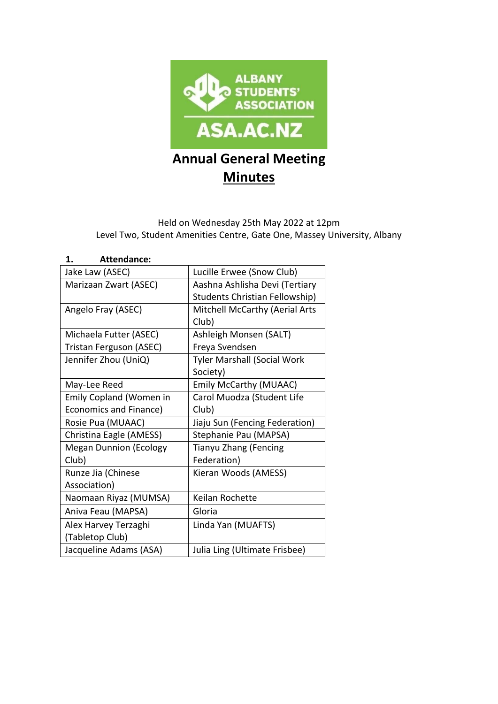

# Held on Wednesday 25th May 2022 at 12pm Level Two, Student Amenities Centre, Gate One, Massey University, Albany

| <b>Attendance:</b><br>1.      |                                    |  |
|-------------------------------|------------------------------------|--|
| Jake Law (ASEC)               | Lucille Erwee (Snow Club)          |  |
| Marizaan Zwart (ASEC)         | Aashna Ashlisha Devi (Tertiary     |  |
|                               | Students Christian Fellowship)     |  |
| Angelo Fray (ASEC)            | Mitchell McCarthy (Aerial Arts     |  |
|                               | Club)                              |  |
| Michaela Futter (ASEC)        | Ashleigh Monsen (SALT)             |  |
| Tristan Ferguson (ASEC)       | Freya Svendsen                     |  |
| Jennifer Zhou (UniQ)          | <b>Tyler Marshall (Social Work</b> |  |
|                               | Society)                           |  |
| May-Lee Reed                  | <b>Emily McCarthy (MUAAC)</b>      |  |
| Emily Copland (Women in       | Carol Muodza (Student Life         |  |
| Economics and Finance)        | Club)                              |  |
| Rosie Pua (MUAAC)             | Jiaju Sun (Fencing Federation)     |  |
| Christina Eagle (AMESS)       | Stephanie Pau (MAPSA)              |  |
| <b>Megan Dunnion (Ecology</b> | Tianyu Zhang (Fencing              |  |
| Club)                         | Federation)                        |  |
| Runze Jia (Chinese            | Kieran Woods (AMESS)               |  |
| Association)                  |                                    |  |
| Naomaan Riyaz (MUMSA)         | Keilan Rochette                    |  |
| Aniva Feau (MAPSA)            | Gloria                             |  |
| Alex Harvey Terzaghi          | Linda Yan (MUAFTS)                 |  |
| (Tabletop Club)               |                                    |  |
| Jacqueline Adams (ASA)        | Julia Ling (Ultimate Frisbee)      |  |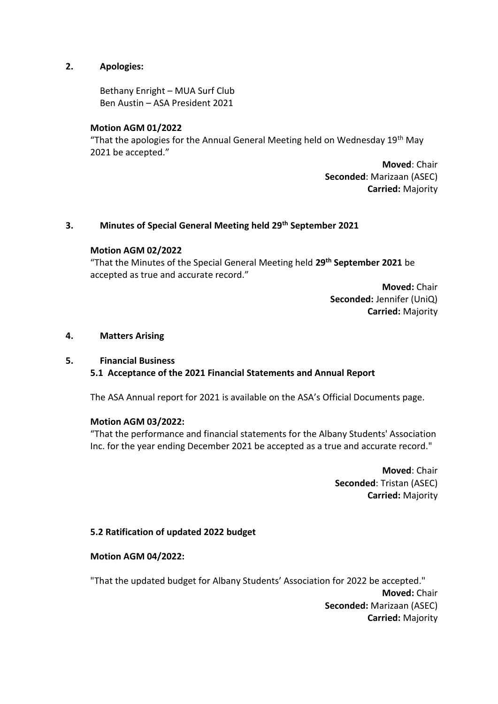# **2. Apologies:**

Bethany Enright – MUA Surf Club Ben Austin – ASA President 2021

# **Motion AGM 01/2022**

"That the apologies for the Annual General Meeting held on Wednesday  $19<sup>th</sup>$  May 2021 be accepted."

> **Moved**: Chair **Seconded**: Marizaan (ASEC) **Carried:** Majority

# **3. Minutes of Special General Meeting held 29th September 2021**

## **Motion AGM 02/2022**

"That the Minutes of the Special General Meeting held **29th September 2021** be accepted as true and accurate record."

> **Moved:** Chair **Seconded:** Jennifer (UniQ) **Carried:** Majority

## **4. Matters Arising**

## **5. Financial Business**

**5.1 Acceptance of the 2021 Financial Statements and Annual Report**

The ASA Annual report for 2021 is available on the ASA's Official Documents page.

## **Motion AGM 03/2022:**

"That the performance and financial statements for the Albany Students' Association Inc. for the year ending December 2021 be accepted as a true and accurate record."

> **Moved**: Chair **Seconded**: Tristan (ASEC) **Carried:** Majority

## **5.2 Ratification of updated 2022 budget**

# **Motion AGM 04/2022:**

"That the updated budget for Albany Students' Association for 2022 be accepted." **Moved:** Chair **Seconded:** Marizaan (ASEC) **Carried:** Majority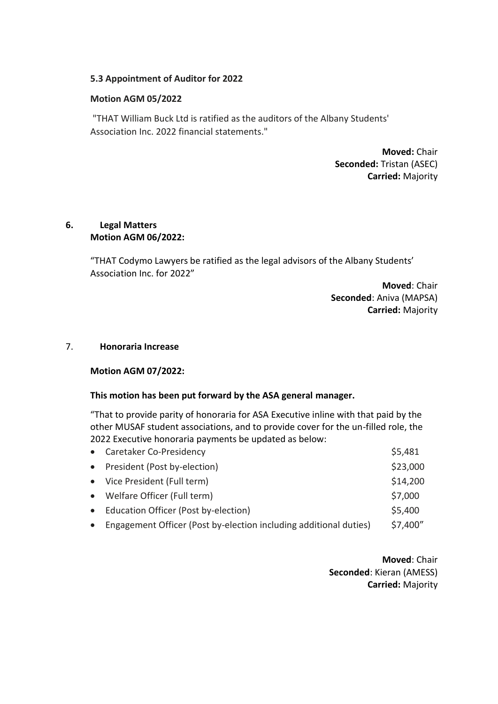# **5.3 Appointment of Auditor for 2022**

# **Motion AGM 05/2022**

"THAT William Buck Ltd is ratified as the auditors of the Albany Students' Association Inc. 2022 financial statements."

> **Moved:** Chair **Seconded:** Tristan (ASEC) **Carried:** Majority

# **6. Legal Matters Motion AGM 06/2022:**

"THAT Codymo Lawyers be ratified as the legal advisors of the Albany Students' Association Inc. for 2022"

> **Moved**: Chair **Seconded**: Aniva (MAPSA) **Carried:** Majority

#### 7. **Honoraria Increase**

## **Motion AGM 07/2022:**

## **This motion has been put forward by the ASA general manager.**

"That to provide parity of honoraria for ASA Executive inline with that paid by the other MUSAF student associations, and to provide cover for the un-filled role, the 2022 Executive honoraria payments be updated as below:

|           | • Caretaker Co-Presidency                                         | \$5,481  |
|-----------|-------------------------------------------------------------------|----------|
|           | • President (Post by-election)                                    | \$23,000 |
|           | • Vice President (Full term)                                      | \$14,200 |
|           | • Welfare Officer (Full term)                                     | \$7,000  |
|           | • Education Officer (Post by-election)                            | \$5,400  |
| $\bullet$ | Engagement Officer (Post by-election including additional duties) | \$7,400" |

**Moved**: Chair **Seconded**: Kieran (AMESS) **Carried:** Majority